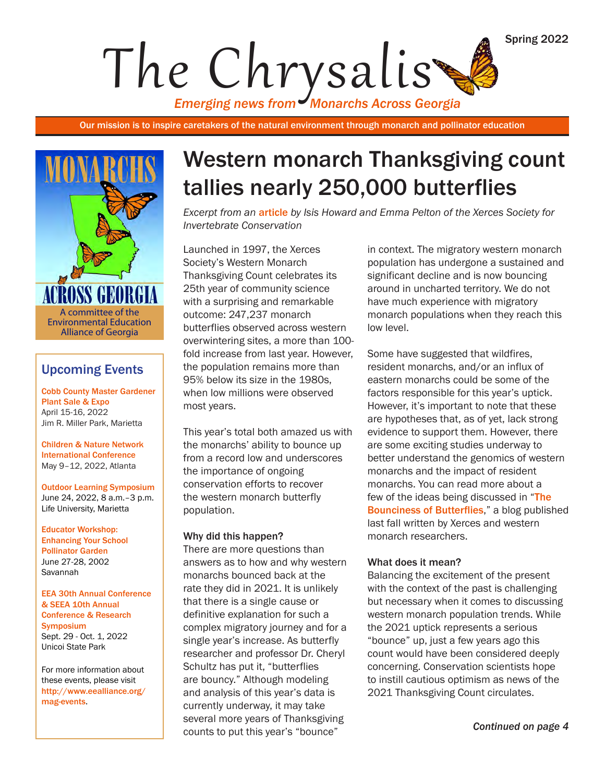*Emerging news from Monarchs Across Georgia* The Chrysalis

Our mission is to inspire caretakers of the natural environment through monarch and pollinator education



### Upcoming Events

[Cobb County Master Gardener](https://www.cobbmastergardeners.com)  [Plant Sale & Expo](https://www.cobbmastergardeners.com) April 15-16, 2022 Jim R. Miller Park, Marietta

[Children & Nature Network](www.childrenandnature.org/inside-out/)  [International Conference](www.childrenandnature.org/inside-out/)  May 9–12, 2022, Atlanta

[Outdoor Learning Symposium](https://www.eealliance.org/2022-outdoor-learning-symposium.html) June 24, 2022, 8 a.m.–3 p.m. Life University, Marietta

[Educator Workshop:](https://www.eealliance.org/mag-events.html)  [Enhancing Your School](https://www.eealliance.org/mag-events.html)  [Pollinator Garden](https://www.eealliance.org/mag-events.html) June 27-28, 2002 Savannah

[EEA 30th Annual Conference](https://www.eealliance.org/2022-eea-annual-conference.html)  [& SEEA 10th Annual](https://www.eealliance.org/2022-eea-annual-conference.html)  [Conference & Research](https://www.eealliance.org/2022-eea-annual-conference.html)  [Symposium](https://www.eealliance.org/2022-eea-annual-conference.html) Sept. 29 - Oct. 1, 2022 Unicoi State Park

For more information about these events, please visit [http://www.eealliance.org/](http://www.eealliance.org/mag-events) [mag-events](http://www.eealliance.org/mag-events).

# Western monarch Thanksgiving count tallies nearly 250,000 butterflies

*Excerpt from an* [article](https://xerces.org/blog/western-monarch-thanksgiving-count-tallies-nearly-250000-butterflies) *by Isis Howard and Emma Pelton of the Xerces Society for Invertebrate Conservation*

Launched in 1997, the Xerces Society's Western Monarch Thanksgiving Count celebrates its 25th year of community science with a surprising and remarkable outcome: 247,237 monarch butterflies observed across western overwintering sites, a more than 100 fold increase from last year. However, the population remains more than 95% below its size in the 1980s, when low millions were observed most years.

This year's total both amazed us with the monarchs' ability to bounce up from a record low and underscores the importance of ongoing conservation efforts to recover the western monarch butterfly population.

#### Why did this happen?

There are more questions than answers as to how and why western monarchs bounced back at the rate they did in 2021. It is unlikely that there is a single cause or definitive explanation for such a complex migratory journey and for a single year's increase. As butterfly researcher and professor Dr. Cheryl Schultz has put it, "butterflies are bouncy." Although modeling and analysis of this year's data is currently underway, it may take several more years of Thanksgiving counts to put this year's "bounce"

in context. The migratory western monarch population has undergone a sustained and significant decline and is now bouncing around in uncharted territory. We do not have much experience with migratory monarch populations when they reach this low level.

Some have suggested that wildfires, resident monarchs, and/or an influx of eastern monarchs could be some of the factors responsible for this year's uptick. However, it's important to note that these are hypotheses that, as of yet, lack strong evidence to support them. However, there are some exciting studies underway to better understand the genomics of western monarchs and the impact of resident monarchs. You can read more about a few of the ideas being discussed in "[The](https://xerces.org/blog/bounciness-of-butterflies)  [Bounciness of Butterflies](https://xerces.org/blog/bounciness-of-butterflies)," a blog published last fall written by Xerces and western monarch researchers.

#### What does it mean?

Balancing the excitement of the present with the context of the past is challenging but necessary when it comes to discussing western monarch population trends. While the 2021 uptick represents a serious "bounce" up, just a few years ago this count would have been considered deeply concerning. Conservation scientists hope to instill cautious optimism as news of the 2021 Thanksgiving Count circulates.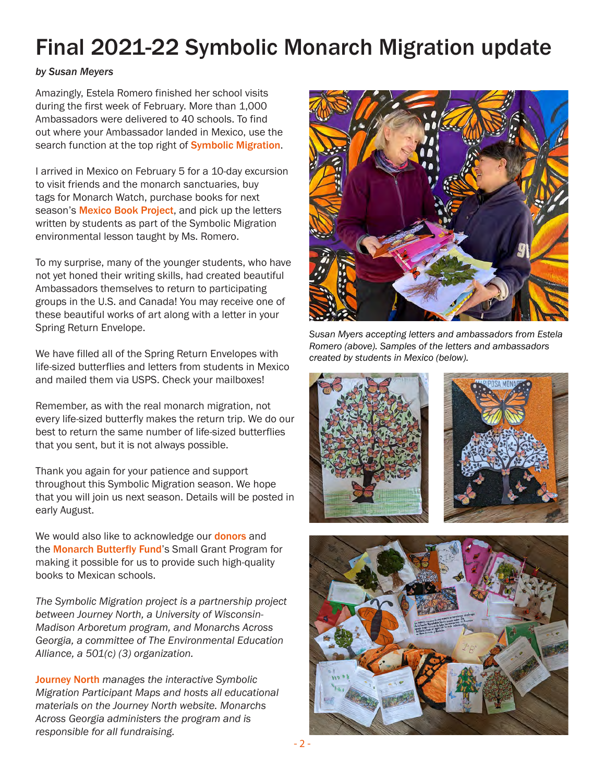# Final 2021-22 Symbolic Monarch Migration update

### *by Susan Meyers*

Amazingly, Estela Romero finished her school visits during the first week of February. More than 1,000 Ambassadors were delivered to 40 schools. To find out where your Ambassador landed in Mexico, use the search function at the top right of **[Symbolic Migration](https://symbolicmigration.org/)**.

I arrived in Mexico on February 5 for a 10-day excursion to visit friends and the monarch sanctuaries, buy tags for Monarch Watch, purchase books for next season's **[Mexico Book Project](http://www.eealliance.org/mexico-book-project.html)**, and pick up the letters written by students as part of the Symbolic Migration environmental lesson taught by Ms. Romero.

To my surprise, many of the younger students, who have not yet honed their writing skills, had created beautiful Ambassadors themselves to return to participating groups in the U.S. and Canada! You may receive one of these beautiful works of art along with a letter in your Spring Return Envelope.

We have filled all of the Spring Return Envelopes with life-sized butterflies and letters from students in Mexico and mailed them via USPS. Check your mailboxes!

Remember, as with the real monarch migration, not every life-sized butterfly makes the return trip. We do our best to return the same number of life-sized butterflies that you sent, but it is not always possible.

Thank you again for your patience and support throughout this Symbolic Migration season. We hope that you will join us next season. Details will be posted in early August.

We would also like to acknowledge our **[donors](https://www.eealliance.org/uploads/1/2/9/7/129730705/2021_mexico_book_project_donors.pdf)** and the [Monarch Butterfly Fund](https://monarchconservation.org/)'s Small Grant Program for making it possible for us to provide such high-quality books to Mexican schools.

*The Symbolic Migration project is a partnership project between Journey North, a University of Wisconsin-Madison Arboretum program, and Monarchs Across Georgia, a committee of The Environmental Education Alliance, a 501(c) (3) organization.* 

[Journey North](https://journeynorth.org/symbolic-migration) *manages the interactive Symbolic Migration Participant Maps and hosts all educational materials on the Journey North website. Monarchs Across Georgia administers the program and is responsible for all fundraising.*



*Susan Myers accepting letters and ambassadors from Estela Romero (above). Samples of the letters and ambassadors created by students in Mexico (below).*



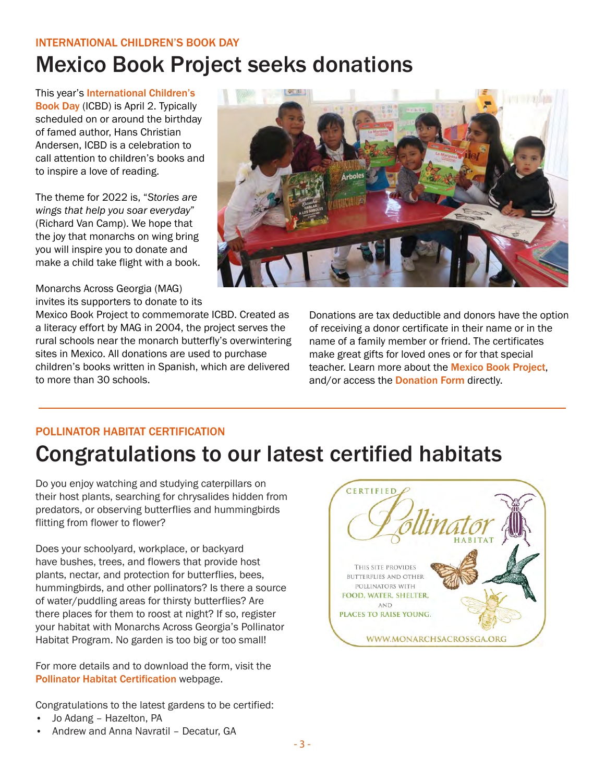### international children's book day Mexico Book Project seeks donations

This year's [International Children's](https://www.ibby.org/awards-activities/activities/international-childrens-book-day)  [Book Day](https://www.ibby.org/awards-activities/activities/international-childrens-book-day) (ICBD) is April 2. Typically scheduled on or around the birthday of famed author, Hans Christian Andersen, ICBD is a celebration to call attention to children's books and to inspire a love of reading.

The theme for 2022 is, "*Stories are wings that help you soar everyday*" (Richard Van Camp). We hope that the joy that monarchs on wing bring you will inspire you to donate and make a child take flight with a book.

Monarchs Across Georgia (MAG) invites its supporters to donate to its

Mexico Book Project to commemorate ICBD. Created as a literacy effort by MAG in 2004, the project serves the rural schools near the monarch butterfly's overwintering sites in Mexico. All donations are used to purchase children's books written in Spanish, which are delivered to more than 30 schools.



Donations are tax deductible and donors have the option of receiving a donor certificate in their name or in the name of a family member or friend. The certificates make great gifts for loved ones or for that special teacher. Learn more about the **[Mexico Book Project](https://www.eealliance.org/mexico-book-project.html)**, and/or access the **[Donation Form](https://www.eealliance.org/mx-book-project-donation.html#!form/MexicoBook)** directly.

### POLLINATOR HABITAT CERTIFICATION

# Congratulations to our latest certified habitats

Do you enjoy watching and studying caterpillars on their host plants, searching for chrysalides hidden from predators, or observing butterflies and hummingbirds flitting from flower to flower?

Does your schoolyard, workplace, or backyard have bushes, trees, and flowers that provide host plants, nectar, and protection for butterflies, bees, hummingbirds, and other pollinators? Is there a source of water/puddling areas for thirsty butterflies? Are there places for them to roost at night? If so, register your habitat with Monarchs Across Georgia's Pollinator Habitat Program. No garden is too big or too small!

For more details and to download the form, visit the [Pollinator Habitat Certification](https://www.eealliance.org/pollinator-habitat-certification.html) webpage.

Congratulations to the latest gardens to be certified:

- Jo Adang Hazelton, PA
- Andrew and Anna Navratil Decatur, GA

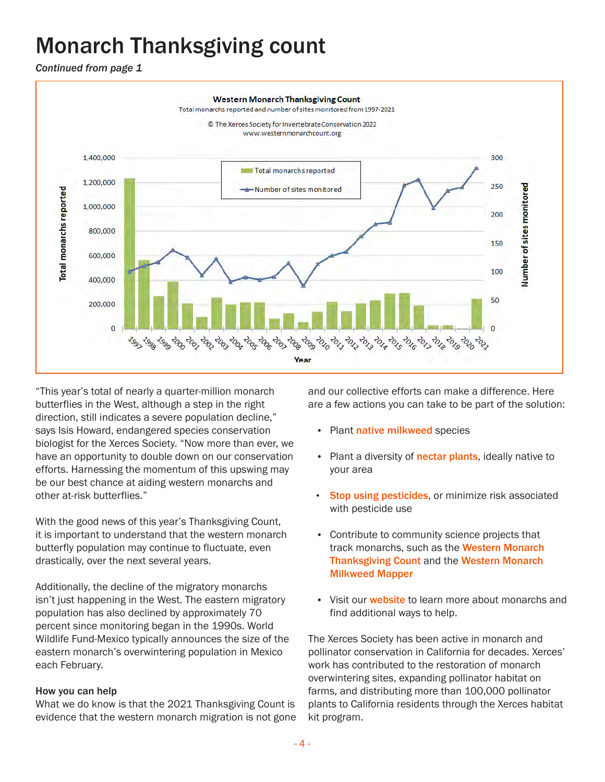# Monarch Thanksgiving count

*Continued from page 1* 



"This year's total of nearly a quarter-million monarch butterflies in the West, although a step in the right direction, still indicates a severe population decline," says Isis Howard, endangered species conservation biologist for the Xerces Society. "Now more than ever, we have an opportunity to double down on our conservation efforts. Harnessing the momentum of this upswing may be our best chance at aiding western monarchs and other at-risk butterflies."

With the good news of this year's Thanksgiving Count, it is important to understand that the western monarch butterfly population may continue to fluctuate, even drastically, over the next several years.

Additionally, the decline of the migratory monarchs isn't just happening in the West. The eastern migratory population has also declined by approximately 70 percent since monitoring began in the 1990s. World Wildlife Fund-Mexico typically announces the size of the eastern monarch's overwintering population in Mexico each February.

### How you can help

What we do know is that the 2021 Thanksgiving Count is evidence that the western monarch migration is not gone and our collective efforts can make a difference. Here are a few actions you can take to be part of the solution:

- Plant [native milkweed](https://www.xerces.org/milkweed/milkweed-guides) species
- Plant a diversity of [nectar plants](https://xerces.org/monarchs/monarch-nectar-plant-guides), ideally native to your area
- [Stop using pesticides](https://xerces.org/pesticides), or minimize risk associated with pesticide use
- Contribute to community science projects that track monarchs, such as the Western Monarch [Thanksgiving Count](https://www.westernmonarchcount.org/) and the [Western Monarch](https://www.monarchmilkweedmapper.org/)  [Milkweed Mapper](https://www.monarchmilkweedmapper.org/)
- Visit our **[website](https://xerces.org/monarchs)** to learn more about monarchs and find additional ways to help.

The Xerces Society has been active in monarch and pollinator conservation in California for decades. Xerces' work has contributed to the restoration of monarch overwintering sites, expanding pollinator habitat on farms, and distributing more than 100,000 pollinator plants to California residents through the Xerces habitat kit program.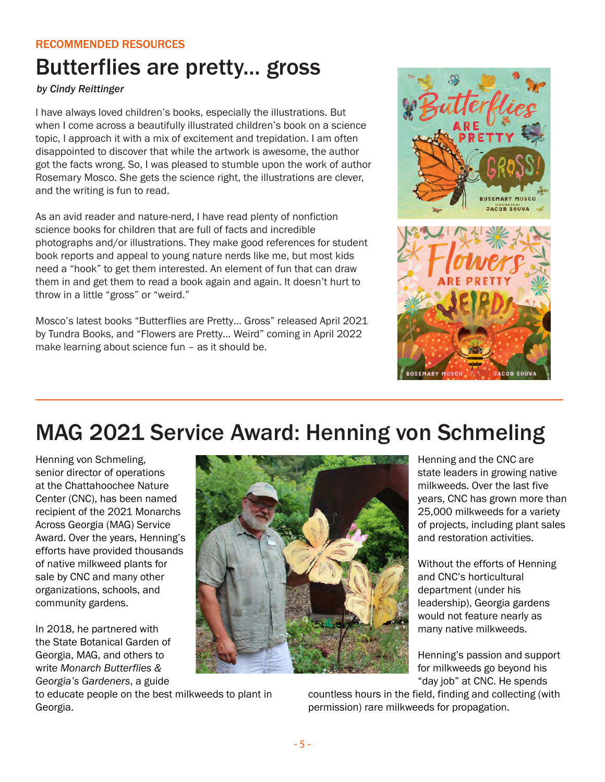### recommended resources

### Butterflies are pretty... gross

*by Cindy Reittinger*

I have always loved children's books, especially the illustrations. But when I come across a beautifully illustrated children's book on a science topic, I approach it with a mix of excitement and trepidation. I am often disappointed to discover that while the artwork is awesome, the author got the facts wrong. So, I was pleased to stumble upon the work of author Rosemary Mosco. She gets the science right, the illustrations are clever, and the writing is fun to read.

As an avid reader and nature-nerd, I have read plenty of nonfiction science books for children that are full of facts and incredible photographs and/or illustrations. They make good references for student book reports and appeal to young nature nerds like me, but most kids need a "hook" to get them interested. An element of fun that can draw them in and get them to read a book again and again. It doesn't hurt to throw in a little "gross" or "weird."

Mosco's latest books "Butterflies are Pretty… Gross" released April 2021 by Tundra Books, and "Flowers are Pretty… Weird" coming in April 2022 make learning about science fun – as it should be.



### MAG 2021 Service Award: Henning von Schmeling

Henning von Schmeling, senior director of operations at the Chattahoochee Nature Center (CNC), has been named recipient of the 2021 Monarchs Across Georgia (MAG) Service Award. Over the years, Henning's efforts have provided thousands of native milkweed plants for sale by CNC and many other organizations, schools, and community gardens.

In 2018, he partnered with the State Botanical Garden of Georgia, MAG, and others to write *Monarch Butterflies & Georgia's Gardeners*, a guide

to educate people on the best milkweeds to plant in Georgia.



Henning and the CNC are state leaders in growing native milkweeds. Over the last five years, CNC has grown more than 25,000 milkweeds for a variety of projects, including plant sales and restoration activities.

Without the efforts of Henning and CNC's horticultural department (under his leadership), Georgia gardens would not feature nearly as many native milkweeds.

Henning's passion and support for milkweeds go beyond his "day job" at CNC. He spends

countless hours in the field, finding and collecting (with permission) rare milkweeds for propagation.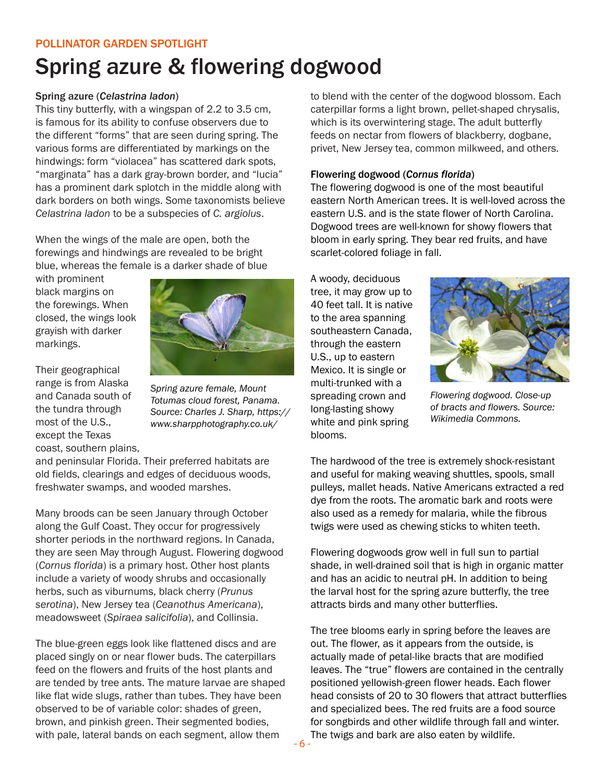### POLLINATOR GARDEN SPOTLIGHT

# Spring azure & flowering dogwood

#### Spring azure (*Celastrina ladon*)

This tiny butterfly, with a wingspan of 2.2 to 3.5 cm, is famous for its ability to confuse observers due to the different "forms" that are seen during spring. The various forms are differentiated by markings on the hindwings: form "violacea" has scattered dark spots, "marginata" has a dark gray-brown border, and "lucia" has a prominent dark splotch in the middle along with dark borders on both wings. Some taxonomists believe *Celastrina ladon* to be a subspecies of *C. argiolus*.

When the wings of the male are open, both the forewings and hindwings are revealed to be bright blue, whereas the female is a darker shade of blue

with prominent black margins on the forewings. When closed, the wings look grayish with darker markings.

Their geographical range is from Alaska and Canada south of the tundra through most of the U.S., except the Texas coast, southern plains,



*Spring azure female, Mount Totumas cloud forest, Panama. Source: Charles J. Sharp, https:// www.sharpphotography.co.uk/*

and peninsular Florida. Their preferred habitats are old fields, clearings and edges of deciduous woods, freshwater swamps, and wooded marshes.

Many broods can be seen January through October along the Gulf Coast. They occur for progressively shorter periods in the northward regions. In Canada, they are seen May through August. Flowering dogwood (*Cornus florida*) is a primary host. Other host plants include a variety of woody shrubs and occasionally herbs, such as viburnums, black cherry (*Prunus serotina*), New Jersey tea (*Ceanothus Americana*), meadowsweet (*Spiraea salicifolia*), and Collinsia.

The blue-green eggs look like flattened discs and are placed singly on or near flower buds. The caterpillars feed on the flowers and fruits of the host plants and are tended by tree ants. The mature larvae are shaped like flat wide slugs, rather than tubes. They have been observed to be of variable color: shades of green, brown, and pinkish green. Their segmented bodies, with pale, lateral bands on each segment, allow them

to blend with the center of the dogwood blossom. Each caterpillar forms a light brown, pellet-shaped chrysalis, which is its overwintering stage. The adult butterfly feeds on nectar from flowers of blackberry, dogbane, privet, New Jersey tea, common milkweed, and others.

#### Flowering dogwood (*Cornus florida*)

The flowering dogwood is one of the most beautiful eastern North American trees. It is well-loved across the eastern U.S. and is the state flower of North Carolina. Dogwood trees are well-known for showy flowers that bloom in early spring. They bear red fruits, and have scarlet-colored foliage in fall.

A woody, deciduous tree, it may grow up to 40 feet tall. It is native to the area spanning southeastern Canada, through the eastern U.S., up to eastern Mexico. It is single or multi-trunked with a spreading crown and long-lasting showy white and pink spring blooms.



*Flowering dogwood. Close-up of bracts and flowers. Source: Wikimedia Commons.* 

The hardwood of the tree is extremely shock-resistant and useful for making weaving shuttles, spools, small pulleys, mallet heads. Native Americans extracted a red dye from the roots. The aromatic bark and roots were also used as a remedy for malaria, while the fibrous twigs were used as chewing sticks to whiten teeth.

Flowering dogwoods grow well in full sun to partial shade, in well-drained soil that is high in organic matter and has an acidic to neutral pH. In addition to being the larval host for the spring azure butterfly, the tree attracts birds and many other butterflies.

The tree blooms early in spring before the leaves are out. The flower, as it appears from the outside, is actually made of petal-like bracts that are modified leaves. The "true" flowers are contained in the centrally positioned yellowish-green flower heads. Each flower head consists of 20 to 30 flowers that attract butterflies and specialized bees. The red fruits are a food source for songbirds and other wildlife through fall and winter. The twigs and bark are also eaten by wildlife.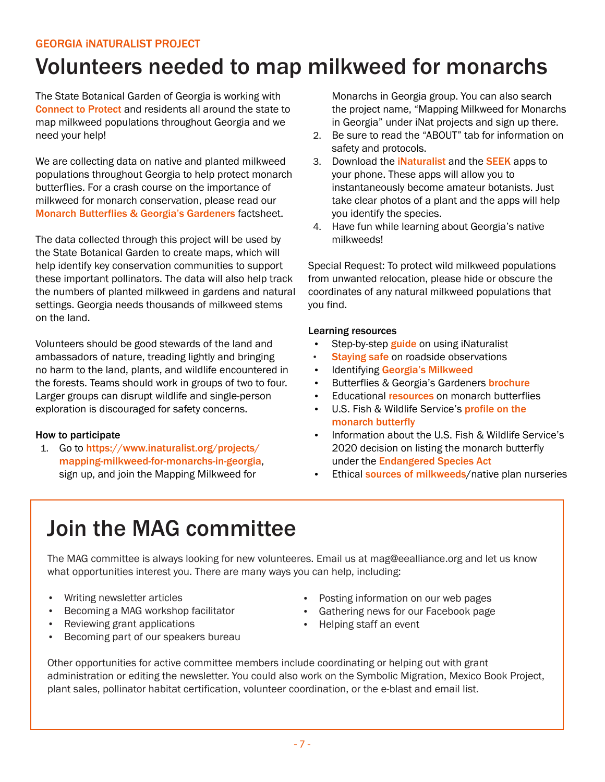### georgia inaturalist project

### Volunteers needed to map milkweed for monarchs

The State Botanical Garden of Georgia is working with [Connect to Protect](https://botgarden.uga.edu/conservation-science/connect-to-protect/) and residents all around the state to map milkweed populations throughout Georgia and we need your help!

We are collecting data on native and planted milkweed populations throughout Georgia to help protect monarch butterflies. For a crash course on the importance of milkweed for monarch conservation, please read our [Monarch Butterflies & Georgia's Gardeners](https://botgarden.uga.edu/wp-content/uploads/2018/03/milkweedinformation.pdf) factsheet.

The data collected through this project will be used by the State Botanical Garden to create maps, which will help identify key conservation communities to support these important pollinators. The data will also help track the numbers of planted milkweed in gardens and natural settings. Georgia needs thousands of milkweed stems on the land.

Volunteers should be good stewards of the land and ambassadors of nature, treading lightly and bringing no harm to the land, plants, and wildlife encountered in the forests. Teams should work in groups of two to four. Larger groups can disrupt wildlife and single-person exploration is discouraged for safety concerns.

### How to participate

1. Go to [https://www.inaturalist.org/projects/](https://www.inaturalist.org/projects/mapping-milkweed-for-monarchs-in-georgia) [mapping-milkweed-for-monarchs-in-georgia](https://www.inaturalist.org/projects/mapping-milkweed-for-monarchs-in-georgia), sign up, and join the Mapping Milkweed for

Monarchs in Georgia group. You can also search the project name, "Mapping Milkweed for Monarchs in Georgia" under iNat projects and sign up there.

- 2. Be sure to read the "ABOUT" tab for information on safety and protocols.
- 3. Download the **[iNaturalist](https://www.inaturalist.org/)** and the **[SEEK](https://www.inaturalist.org/pages/seek_app)** apps to your phone. These apps will allow you to instantaneously become amateur botanists. Just take clear photos of a plant and the apps will help you identify the species.
- 4. Have fun while learning about Georgia's native milkweeds!

Special Request: To protect wild milkweed populations from unwanted relocation, please hide or obscure the coordinates of any natural milkweed populations that you find.

#### Learning resources

- Step-by-step **[guide](https://www.segrasslands.org/biodiversity-exploration)** on using iNaturalist
- [Staying safe](https://static1.squarespace.com/static/58f8362b15d5dbde5a0c3003/t/5d0d36fb7aee470001511c24/1561147139898/Roadside+Remnant+Field+Guide+REVISED.pdf) on roadside observations
- Identifying [Georgia's Milkweed](https://www.eealliance.org/uploads/1/2/9/7/129730705/field_guide_to_ga_milkweeds_corrected_9-27-18.pdf)
- Butterflies & Georgia's Gardeners **[brochure](https://botgarden.uga.edu/wp-content/uploads/2018/03/milkweedinformation.pdf)**
- Educational [resources](https://www.eealliance.org/monarchs-across-ga.html) on monarch butterflies
- U.S. Fish & Wildlife Service's profile on the [monarch butterfly](https://www.fws.gov/savethemonarch/)
- Information about the U.S. Fish & Wildlife Service's 2020 decision on listing the monarch butterfly under the [Endangered Species Act](https://monarchjointventure.org/blog/faqs-endangered-species-act-listing-decision-for-monarch-butterflies)
- Ethical [sources of milkweeds](https://botgarden.uga.edu/wp-content/uploads/2016/11/Directory-of-Native-Plant-Nurseries.pdf)/native plan nurseries

# Join the MAG committee

The MAG committee is always looking for new volunteeres. Email us at mag@eealliance.org and let us know what opportunities interest you. There are many ways you can help, including:

- Writing newsletter articles
- Becoming a MAG workshop facilitator
- Reviewing grant applications
- Becoming part of our speakers bureau
- Posting information on our web pages
- Gathering news for our Facebook page
- Helping staff an event

Other opportunities for active committee members include coordinating or helping out with grant administration or editing the newsletter. You could also work on the Symbolic Migration, Mexico Book Project, plant sales, pollinator habitat certification, volunteer coordination, or the e-blast and email list.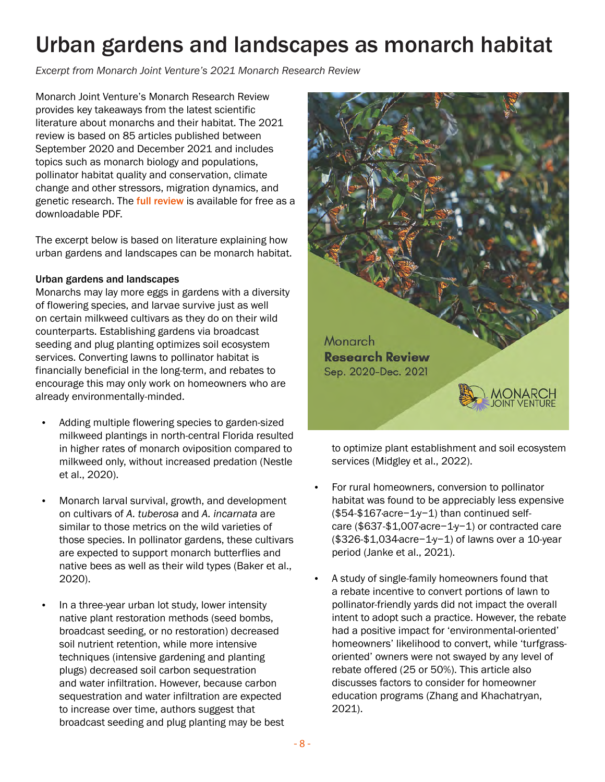# Urban gardens and landscapes as monarch habitat

*Excerpt from Monarch Joint Venture's 2021 Monarch Research Review*

Monarch Joint Venture's Monarch Research Review provides key takeaways from the latest scientific literature about monarchs and their habitat. The 2021 review is based on 85 articles published between September 2020 and December 2021 and includes topics such as monarch biology and populations, pollinator habitat quality and conservation, climate change and other stressors, migration dynamics, and genetic research. The [full review](https://monarchjointventure.org/images/uploads/documents/2021_Monarch_Research_Review.pdf) is available for free as a downloadable PDF.

The excerpt below is based on literature explaining how urban gardens and landscapes can be monarch habitat.

### Urban gardens and landscapes

Monarchs may lay more eggs in gardens with a diversity of flowering species, and larvae survive just as well on certain milkweed cultivars as they do on their wild counterparts. Establishing gardens via broadcast seeding and plug planting optimizes soil ecosystem services. Converting lawns to pollinator habitat is financially beneficial in the long-term, and rebates to encourage this may only work on homeowners who are already environmentally-minded.

- Adding multiple flowering species to garden-sized milkweed plantings in north-central Florida resulted in higher rates of monarch oviposition compared to milkweed only, without increased predation (Nestle et al., 2020).
- Monarch larval survival, growth, and development on cultivars of *A. tuberosa* and *A. incarnata* are similar to those metrics on the wild varieties of those species. In pollinator gardens, these cultivars are expected to support monarch butterflies and native bees as well as their wild types (Baker et al., 2020).
- In a three-year urban lot study, lower intensity native plant restoration methods (seed bombs, broadcast seeding, or no restoration) decreased soil nutrient retention, while more intensive techniques (intensive gardening and planting plugs) decreased soil carbon sequestration and water infiltration. However, because carbon sequestration and water infiltration are expected to increase over time, authors suggest that broadcast seeding and plug planting may be best



to optimize plant establishment and soil ecosystem services (Midgley et al., 2022).

- For rural homeowners, conversion to pollinator habitat was found to be appreciably less expensive (\$54-\$167·acre−1·y−1) than continued selfcare (\$637-\$1,007·acre−1·y−1) or contracted care (\$326-\$1,034·acre−1·y−1) of lawns over a 10-year period (Janke et al., 2021).
- A study of single-family homeowners found that a rebate incentive to convert portions of lawn to pollinator-friendly yards did not impact the overall intent to adopt such a practice. However, the rebate had a positive impact for 'environmental-oriented' homeowners' likelihood to convert, while 'turfgrassoriented' owners were not swayed by any level of rebate offered (25 or 50%). This article also discusses factors to consider for homeowner education programs (Zhang and Khachatryan, 2021).